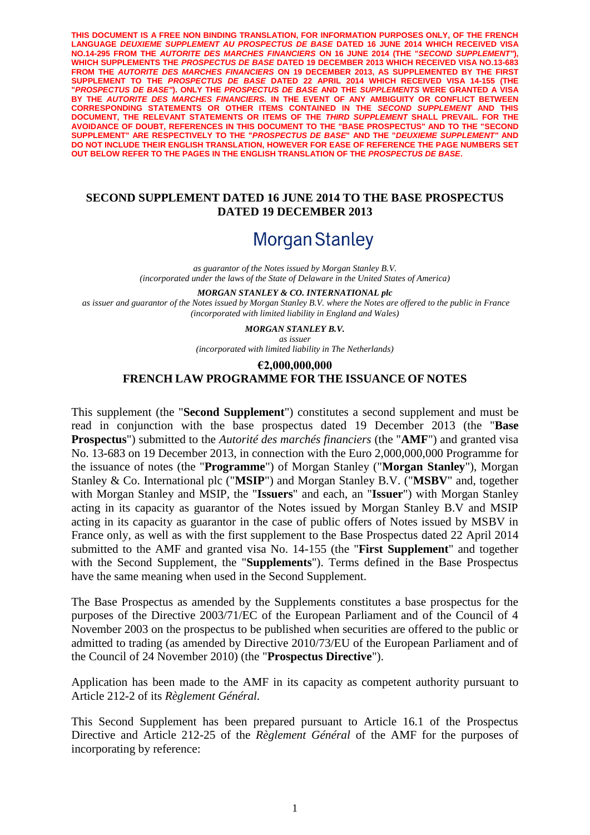**THIS DOCUMENT IS A FREE NON BINDING TRANSLATION, FOR INFORMATION PURPOSES ONLY, OF THE FRENCH**  LANGUAGE *DEUXIEME SUPPLEMENT AU PROSPECTUS DE BASE* DATED 16 JUNE 2014 WHICH RECEIVED VISA **NO.14-295 FROM THE** *AUTORITE DES MARCHES FINANCIERS* **ON 16 JUNE 2014 (THE "***SECOND SUPPLEMENT"***), WHICH SUPPLEMENTS THE** *PROSPECTUS DE BASE* **DATED 19 DECEMBER 2013 WHICH RECEIVED VISA NO.13-683 FROM THE** *AUTORITE DES MARCHES FINANCIERS* **ON 19 DECEMBER 2013, AS SUPPLEMENTED BY THE FIRST SUPPLEMENT TO THE** *PROSPECTUS DE BASE* **DATED 22 APRIL 2014 WHICH RECEIVED VISA 14-155 (THE "***PROSPECTUS DE BASE"***). ONLY THE** *PROSPECTUS DE BASE* **AND THE** *SUPPLEMENTS* **WERE GRANTED A VISA BY THE** *AUTORITE DES MARCHES FINANCIERS.* **IN THE EVENT OF ANY AMBIGUITY OR CONFLICT BETWEEN CORRESPONDING STATEMENTS OR OTHER ITEMS CONTAINED IN THE** *SECOND SUPPLEMENT* **AND THIS DOCUMENT, THE RELEVANT STATEMENTS OR ITEMS OF THE** *THIRD SUPPLEMENT* **SHALL PREVAIL. FOR THE AVOIDANCE OF DOUBT, REFERENCES IN THIS DOCUMENT TO THE "BASE PROSPECTUS" AND TO THE "SECOND SUPPLEMENT" ARE RESPECTIVELY TO THE "***PROSPECTUS DE BASE***" AND THE "***DEUXIEME SUPPLEMENT"* **AND DO NOT INCLUDE THEIR ENGLISH TRANSLATION, HOWEVER FOR EASE OF REFERENCE THE PAGE NUMBERS SET OUT BELOW REFER TO THE PAGES IN THE ENGLISH TRANSLATION OF THE** *PROSPECTUS DE BASE***.**

#### **SECOND SUPPLEMENT DATED 16 JUNE 2014 TO THE BASE PROSPECTUS DATED 19 DECEMBER 2013**

# **Morgan Stanley**

*as guarantor of the Notes issued by Morgan Stanley B.V. (incorporated under the laws of the State of Delaware in the United States of America)*

*MORGAN STANLEY & CO. INTERNATIONAL plc as issuer and guarantor of the Notes issued by Morgan Stanley B.V. where the Notes are offered to the public in France (incorporated with limited liability in England and Wales)*

> *MORGAN STANLEY B.V. as issuer*

*(incorporated with limited liability in The Netherlands)*

## **€2,000,000,000 FRENCH LAW PROGRAMME FOR THE ISSUANCE OF NOTES**

This supplement (the "**Second Supplement**") constitutes a second supplement and must be read in conjunction with the base prospectus dated 19 December 2013 (the "**Base Prospectus**") submitted to the *Autorité des marchés financiers* (the "**AMF**") and granted visa No. 13-683 on 19 December 2013, in connection with the Euro 2,000,000,000 Programme for the issuance of notes (the "**Programme**") of Morgan Stanley ("**Morgan Stanley**"), Morgan Stanley & Co. International plc ("**MSIP**") and Morgan Stanley B.V. ("**MSBV**" and, together with Morgan Stanley and MSIP, the "**Issuers**" and each, an "**Issuer**") with Morgan Stanley acting in its capacity as guarantor of the Notes issued by Morgan Stanley B.V and MSIP acting in its capacity as guarantor in the case of public offers of Notes issued by MSBV in France only, as well as with the first supplement to the Base Prospectus dated 22 April 2014 submitted to the AMF and granted visa No. 14-155 (the "**First Supplement**" and together with the Second Supplement, the "**Supplements**"). Terms defined in the Base Prospectus have the same meaning when used in the Second Supplement.

The Base Prospectus as amended by the Supplements constitutes a base prospectus for the purposes of the Directive 2003/71/EC of the European Parliament and of the Council of 4 November 2003 on the prospectus to be published when securities are offered to the public or admitted to trading (as amended by Directive 2010/73/EU of the European Parliament and of the Council of 24 November 2010) (the "**Prospectus Directive**").

Application has been made to the AMF in its capacity as competent authority pursuant to Article 212-2 of its *Règlement Général.*

This Second Supplement has been prepared pursuant to Article 16.1 of the Prospectus Directive and Article 212-25 of the *Règlement Général* of the AMF for the purposes of incorporating by reference: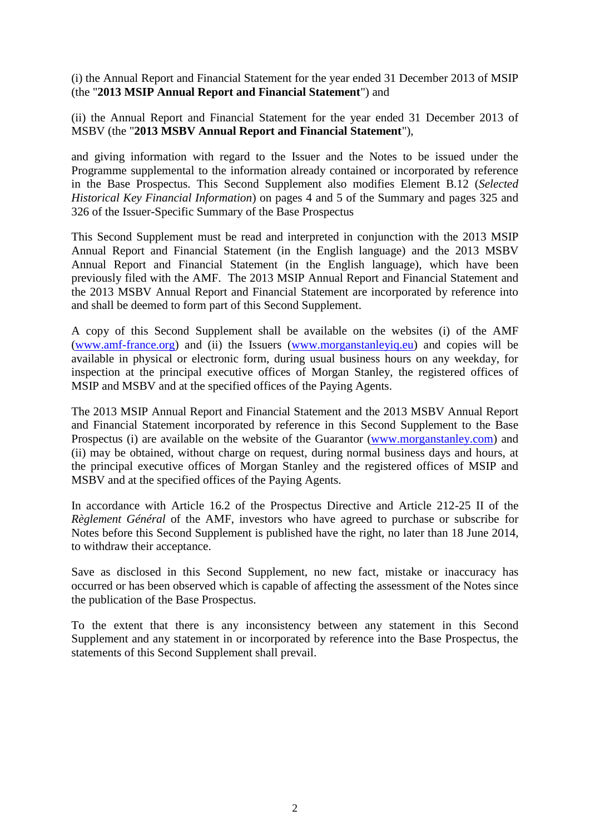(i) the Annual Report and Financial Statement for the year ended 31 December 2013 of MSIP (the "**2013 MSIP Annual Report and Financial Statement**") and

(ii) the Annual Report and Financial Statement for the year ended 31 December 2013 of MSBV (the "**2013 MSBV Annual Report and Financial Statement**"),

and giving information with regard to the Issuer and the Notes to be issued under the Programme supplemental to the information already contained or incorporated by reference in the Base Prospectus. This Second Supplement also modifies Element B.12 (*Selected Historical Key Financial Information*) on pages 4 and 5 of the Summary and pages 325 and 326 of the Issuer-Specific Summary of the Base Prospectus

This Second Supplement must be read and interpreted in conjunction with the 2013 MSIP Annual Report and Financial Statement (in the English language) and the 2013 MSBV Annual Report and Financial Statement (in the English language), which have been previously filed with the AMF. The 2013 MSIP Annual Report and Financial Statement and the 2013 MSBV Annual Report and Financial Statement are incorporated by reference into and shall be deemed to form part of this Second Supplement.

A copy of this Second Supplement shall be available on the websites (i) of the AMF [\(www.amf-france.org\)](http://spr1.intranet.cliffordchance.com/sites/36-40545950/Documents/www.amf-france.org) and (ii) the Issuers [\(www.morganstanleyiq.eu\)](http://spr1.intranet.cliffordchance.com/sites/FR-3000-NEW/Documents/www.morganstanleyiq.eu) and copies will be available in physical or electronic form, during usual business hours on any weekday, for inspection at the principal executive offices of Morgan Stanley, the registered offices of MSIP and MSBV and at the specified offices of the Paying Agents.

The 2013 MSIP Annual Report and Financial Statement and the 2013 MSBV Annual Report and Financial Statement incorporated by reference in this Second Supplement to the Base Prospectus (i) are available on the website of the Guarantor [\(www.morganstanley.com\)](http://spr1.intranet.cliffordchance.com/sites/36-40545950/Documents/www.morganstanley.com) and (ii) may be obtained, without charge on request, during normal business days and hours, at the principal executive offices of Morgan Stanley and the registered offices of MSIP and MSBV and at the specified offices of the Paying Agents.

In accordance with Article 16.2 of the Prospectus Directive and Article 212-25 II of the *Règlement Général* of the AMF, investors who have agreed to purchase or subscribe for Notes before this Second Supplement is published have the right, no later than 18 June 2014, to withdraw their acceptance.

Save as disclosed in this Second Supplement, no new fact, mistake or inaccuracy has occurred or has been observed which is capable of affecting the assessment of the Notes since the publication of the Base Prospectus.

To the extent that there is any inconsistency between any statement in this Second Supplement and any statement in or incorporated by reference into the Base Prospectus, the statements of this Second Supplement shall prevail.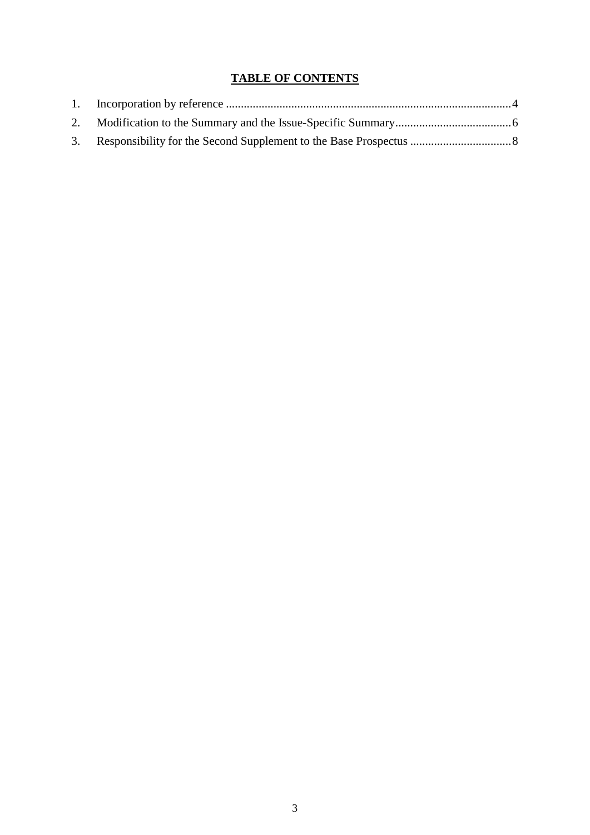# **TABLE OF CONTENTS**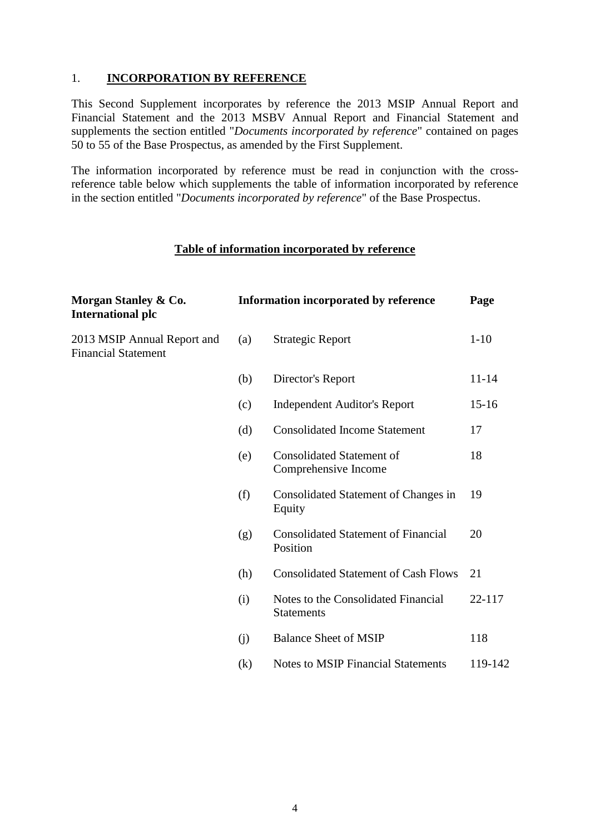#### <span id="page-3-0"></span>1. **INCORPORATION BY REFERENCE**

This Second Supplement incorporates by reference the 2013 MSIP Annual Report and Financial Statement and the 2013 MSBV Annual Report and Financial Statement and supplements the section entitled "*Documents incorporated by reference*" contained on pages 50 to 55 of the Base Prospectus, as amended by the First Supplement.

The information incorporated by reference must be read in conjunction with the crossreference table below which supplements the table of information incorporated by reference in the section entitled "*Documents incorporated by reference*" of the Base Prospectus.

#### **Table of information incorporated by reference**

| Morgan Stanley & Co.<br><b>International plc</b>          | <b>Information incorporated by reference</b> | Page                                                     |           |
|-----------------------------------------------------------|----------------------------------------------|----------------------------------------------------------|-----------|
| 2013 MSIP Annual Report and<br><b>Financial Statement</b> | (a)                                          | <b>Strategic Report</b>                                  | $1 - 10$  |
|                                                           | (b)                                          | Director's Report                                        | $11 - 14$ |
|                                                           | (c)                                          | <b>Independent Auditor's Report</b>                      | $15 - 16$ |
|                                                           | (d)                                          | <b>Consolidated Income Statement</b>                     | 17        |
|                                                           | (e)                                          | <b>Consolidated Statement of</b><br>Comprehensive Income | 18        |
|                                                           | (f)                                          | Consolidated Statement of Changes in<br>Equity           | 19        |
|                                                           | (g)                                          | <b>Consolidated Statement of Financial</b><br>Position   | 20        |
|                                                           | (h)                                          | <b>Consolidated Statement of Cash Flows</b>              | 21        |
|                                                           | (i)                                          | Notes to the Consolidated Financial<br><b>Statements</b> | 22-117    |
|                                                           | (j)                                          | <b>Balance Sheet of MSIP</b>                             | 118       |
|                                                           | (k)                                          | <b>Notes to MSIP Financial Statements</b>                | 119-142   |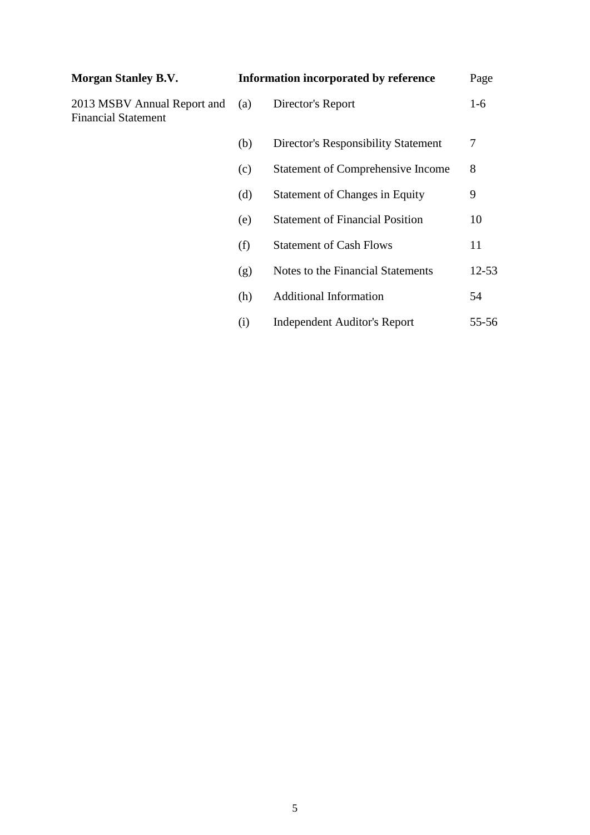| <b>Morgan Stanley B.V.</b>                                |     | Information incorporated by reference    | Page  |
|-----------------------------------------------------------|-----|------------------------------------------|-------|
| 2013 MSBV Annual Report and<br><b>Financial Statement</b> | (a) | Director's Report                        | $1-6$ |
|                                                           | (b) | Director's Responsibility Statement      | 7     |
|                                                           | (c) | <b>Statement of Comprehensive Income</b> | 8     |
|                                                           | (d) | <b>Statement of Changes in Equity</b>    | 9     |
|                                                           | (e) | <b>Statement of Financial Position</b>   | 10    |
|                                                           | (f) | <b>Statement of Cash Flows</b>           | 11    |
|                                                           | (g) | Notes to the Financial Statements        | 12-53 |
|                                                           | (h) | <b>Additional Information</b>            | 54    |
|                                                           | (i) | <b>Independent Auditor's Report</b>      | 55-56 |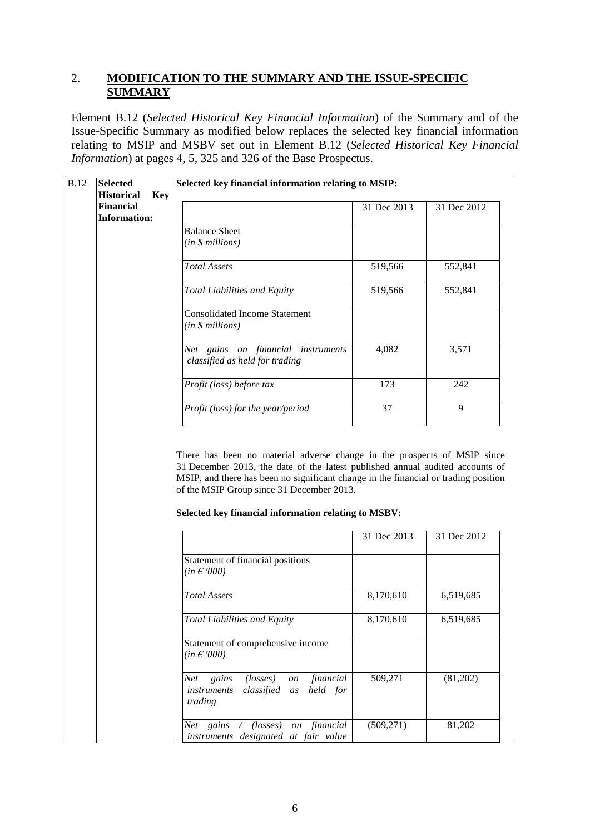## <span id="page-5-0"></span>2. **MODIFICATION TO THE SUMMARY AND THE ISSUE-SPECIFIC SUMMARY**

Element B.12 (*Selected Historical Key Financial Information*) of the Summary and of the Issue-Specific Summary as modified below replaces the selected key financial information relating to MSIP and MSBV set out in Element B.12 (*Selected Historical Key Financial Information*) at pages 4, 5, 325 and 326 of the Base Prospectus.

| B.12 | <b>Selected</b>                         | Selected key financial information relating to MSIP:                                                        |             |             |  |
|------|-----------------------------------------|-------------------------------------------------------------------------------------------------------------|-------------|-------------|--|
|      | <b>Historical</b><br><b>Key</b>         |                                                                                                             |             |             |  |
|      | <b>Financial</b><br><b>Information:</b> |                                                                                                             | 31 Dec 2013 | 31 Dec 2012 |  |
|      |                                         | <b>Balance Sheet</b>                                                                                        |             |             |  |
|      |                                         | (in \$ millions)                                                                                            |             |             |  |
|      |                                         |                                                                                                             |             |             |  |
|      |                                         | <b>Total Assets</b>                                                                                         | 519,566     | 552,841     |  |
|      |                                         | Total Liabilities and Equity                                                                                | 519,566     | 552,841     |  |
|      |                                         | <b>Consolidated Income Statement</b><br>(in \$ millions)                                                    |             |             |  |
|      |                                         | Net gains on financial instruments<br>classified as held for trading                                        | 4,082       | 3,571       |  |
|      |                                         | Profit (loss) before tax                                                                                    | 173         | 242         |  |
|      |                                         | Profit (loss) for the year/period                                                                           | 37          | 9           |  |
|      |                                         | of the MSIP Group since 31 December 2013.<br>Selected key financial information relating to MSBV:           |             |             |  |
|      |                                         |                                                                                                             | 31 Dec 2013 | 31 Dec 2012 |  |
|      |                                         | Statement of financial positions<br>$(in \in 000)$                                                          |             |             |  |
|      |                                         | <b>Total Assets</b>                                                                                         | 8,170,610   | 6,519,685   |  |
|      |                                         | Total Liabilities and Equity                                                                                | 8,170,610   | 6,519,685   |  |
|      |                                         | Statement of comprehensive income<br>$(in \in 000)$                                                         |             |             |  |
|      |                                         | financial<br>gains<br>$(\text{losses})$<br>Net<br>on<br>classified as<br>held for<br>instruments<br>trading | 509,271     | (81,202)    |  |
|      |                                         | Net gains / (losses) on financial<br>instruments designated at fair value                                   | (509, 271)  | 81,202      |  |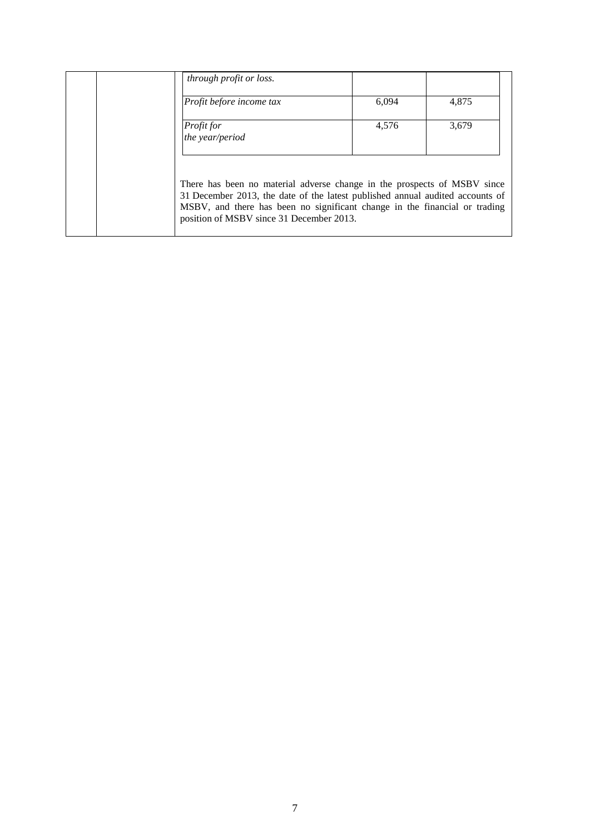| through profit or loss.                                                                                                                                                                                                                                                             |       |       |
|-------------------------------------------------------------------------------------------------------------------------------------------------------------------------------------------------------------------------------------------------------------------------------------|-------|-------|
| Profit before income tax                                                                                                                                                                                                                                                            | 6,094 | 4,875 |
| Profit for<br>the year/period                                                                                                                                                                                                                                                       | 4,576 | 3,679 |
| There has been no material adverse change in the prospects of MSBV since<br>31 December 2013, the date of the latest published annual audited accounts of<br>MSBV, and there has been no significant change in the financial or trading<br>position of MSBV since 31 December 2013. |       |       |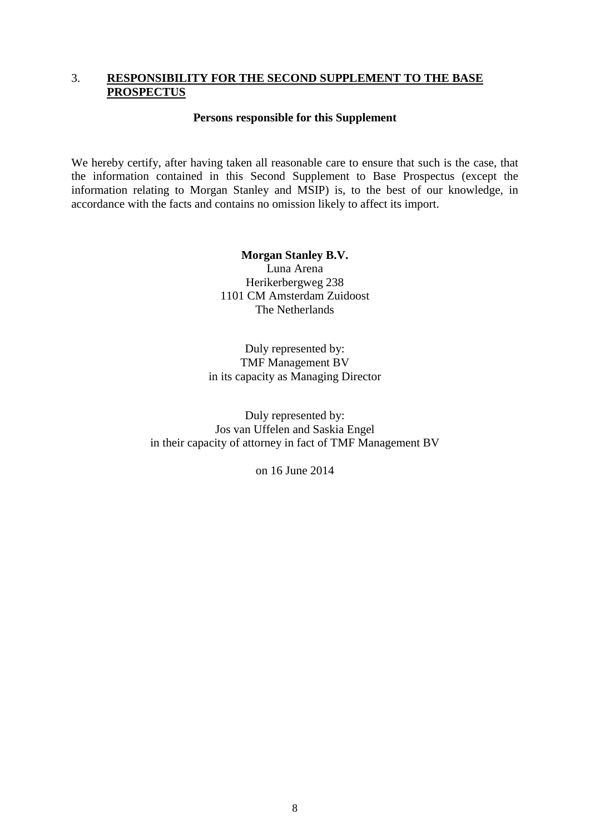#### <span id="page-7-0"></span>3. **RESPONSIBILITY FOR THE SECOND SUPPLEMENT TO THE BASE PROSPECTUS**

#### **Persons responsible for this Supplement**

We hereby certify, after having taken all reasonable care to ensure that such is the case, that the information contained in this Second Supplement to Base Prospectus (except the information relating to Morgan Stanley and MSIP) is, to the best of our knowledge, in accordance with the facts and contains no omission likely to affect its import.

> **Morgan Stanley B.V.** Luna Arena Herikerbergweg 238 1101 CM Amsterdam Zuidoost The Netherlands

Duly represented by: TMF Management BV in its capacity as Managing Director

Duly represented by: Jos van Uffelen and Saskia Engel in their capacity of attorney in fact of TMF Management BV

on 16 June 2014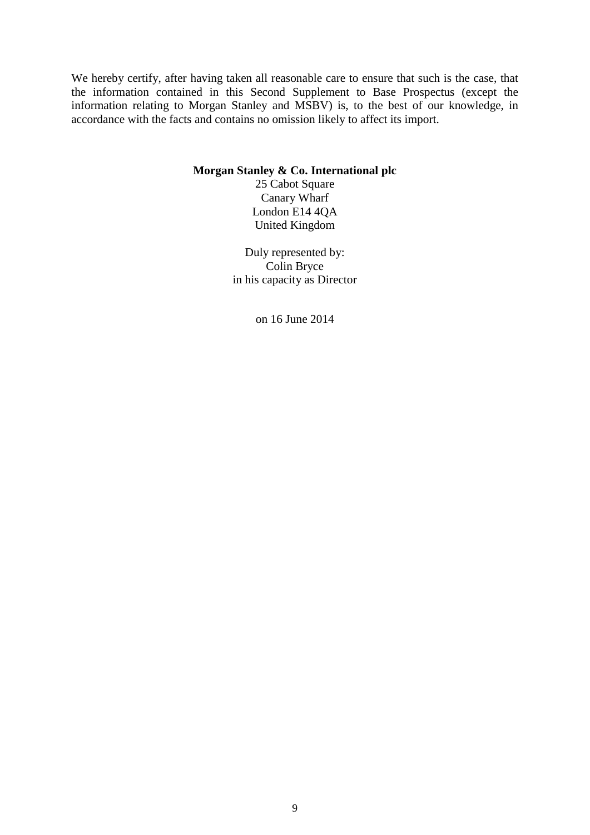We hereby certify, after having taken all reasonable care to ensure that such is the case, that the information contained in this Second Supplement to Base Prospectus (except the information relating to Morgan Stanley and MSBV) is, to the best of our knowledge, in accordance with the facts and contains no omission likely to affect its import.

#### **Morgan Stanley & Co. International plc**

25 Cabot Square Canary Wharf London E14 4QA United Kingdom

Duly represented by: Colin Bryce in his capacity as Director

on 16 June 2014